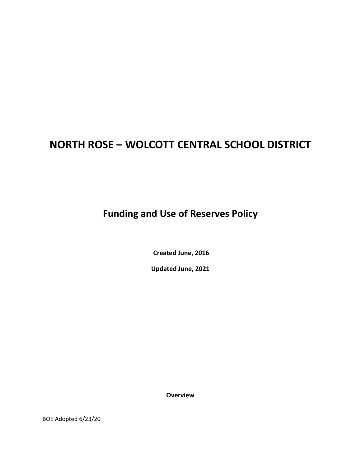# **NORTH ROSE – WOLCOTT CENTRAL SCHOOL DISTRICT**

**Funding and Use of Reserves Policy**

**Created June, 2016**

**Updated June, 2021**

**Overview**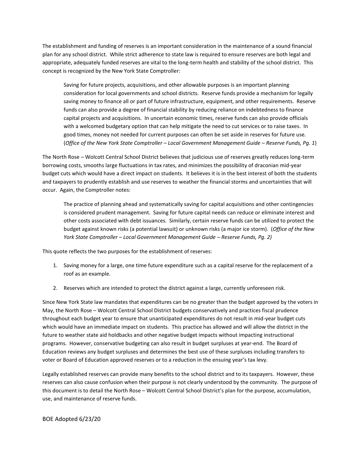The establishment and funding of reserves is an important consideration in the maintenance of a sound financial plan for any school district. While strict adherence to state law is required to ensure reserves are both legal and appropriate, adequately funded reserves are vital to the long-term health and stability of the school district. This concept is recognized by the New York State Comptroller:

Saving for future projects, acquisitions, and other allowable purposes is an important planning consideration for local governments and school districts. Reserve funds provide a mechanism for legally saving money to finance all or part of future infrastructure, equipment, and other requirements. Reserve funds can also provide a degree of financial stability by reducing reliance on indebtedness to finance capital projects and acquisitions. In uncertain economic times, reserve funds can also provide officials with a welcomed budgetary option that can help mitigate the need to cut services or to raise taxes. In good times, money not needed for current purposes can often be set aside in reserves for future use. (*Office of the New York State Comptroller – Local Government Management Guide – Reserve Funds, Pg. 1*)

The North Rose – Wolcott Central School District believes that judicious use of reserves greatly reduces long-term borrowing costs, smooths large fluctuations in tax rates, and minimizes the possibility of draconian mid-year budget cuts which would have a direct impact on students. It believes it is in the best interest of both the students and taxpayers to prudently establish and use reserves to weather the financial storms and uncertainties that will occur. Again, the Comptroller notes:

The practice of planning ahead and systematically saving for capital acquisitions and other contingencies is considered prudent management. Saving for future capital needs can reduce or eliminate interest and other costs associated with debt issuances. Similarly, certain reserve funds can be utilized to protect the budget against known risks (a potential lawsuit) or unknown risks (a major ice storm). (*Office of the New York State Comptroller – Local Government Management Guide – Reserve Funds, Pg. 2)*

This quote reflects the two purposes for the establishment of reserves:

- 1. Saving money for a large, one time future expenditure such as a capital reserve for the replacement of a roof as an example.
- 2. Reserves which are intended to protect the district against a large, currently unforeseen risk.

Since New York State law mandates that expenditures can be no greater than the budget approved by the voters in May, the North Rose – Wolcott Central School District budgets conservatively and practices fiscal prudence throughout each budget year to ensure that unanticipated expenditures do not result in mid-year budget cuts which would have an immediate impact on students. This practice has allowed and will allow the district in the future to weather state aid holdbacks and other negative budget impacts without impacting instructional programs. However, conservative budgeting can also result in budget surpluses at year-end. The Board of Education reviews any budget surpluses and determines the best use of these surpluses including transfers to voter or Board of Education approved reserves or to a reduction in the ensuing year's tax levy.

Legally established reserves can provide many benefits to the school district and to its taxpayers. However, these reserves can also cause confusion when their purpose is not clearly understood by the community. The purpose of this document is to detail the North Rose – Wolcott Central School District's plan for the purpose, accumulation, use, and maintenance of reserve funds.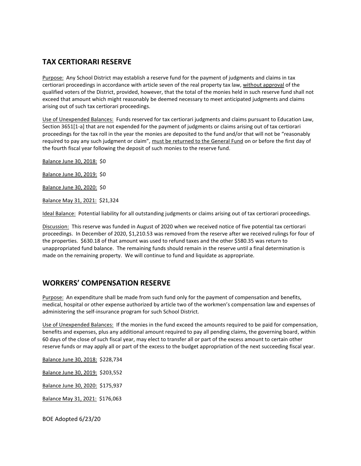## **TAX CERTIORARI RESERVE**

Purpose: Any School District may establish a reserve fund for the payment of judgments and claims in tax certiorari proceedings in accordance with article seven of the real property tax law, without approval of the qualified voters of the District, provided, however, that the total of the monies held in such reserve fund shall not exceed that amount which might reasonably be deemed necessary to meet anticipated judgments and claims arising out of such tax certiorari proceedings.

Use of Unexpended Balances: Funds reserved for tax certiorari judgments and claims pursuant to Education Law, Section 3651[1-a] that are not expended for the payment of judgments or claims arising out of tax certiorari proceedings for the tax roll in the year the monies are deposited to the fund and/or that will not be "reasonably required to pay any such judgment or claim", must be returned to the General Fund on or before the first day of the fourth fiscal year following the deposit of such monies to the reserve fund.

Balance June 30, 2018: \$0

Balance June 30, 2019: \$0

Balance June 30, 2020: \$0

Balance May 31, 2021: \$21,324

Ideal Balance: Potential liability for all outstanding judgments or claims arising out of tax certiorari proceedings.

Discussion: This reserve was funded in August of 2020 when we received notice of five potential tax certiorari proceedings. In December of 2020, \$1,210.53 was removed from the reserve after we received rulings for four of the properties. \$630.18 of that amount was used to refund taxes and the other \$580.35 was return to unappropriated fund balance. The remaining funds should remain in the reserve until a final determination is made on the remaining property. We will continue to fund and liquidate as appropriate.

#### **WORKERS' COMPENSATION RESERVE**

Purpose: An expenditure shall be made from such fund only for the payment of compensation and benefits, medical, hospital or other expense authorized by article two of the workmen's compensation law and expenses of administering the self-insurance program for such School District.

Use of Unexpended Balances: If the monies in the fund exceed the amounts required to be paid for compensation, benefits and expenses, plus any additional amount required to pay all pending claims, the governing board, within 60 days of the close of such fiscal year, may elect to transfer all or part of the excess amount to certain other reserve funds or may apply all or part of the excess to the budget appropriation of the next succeeding fiscal year.

Balance June 30, 2018: \$228,734

Balance June 30, 2019: \$203,552

Balance June 30, 2020: \$175,937

Balance May 31, 2021: \$176,063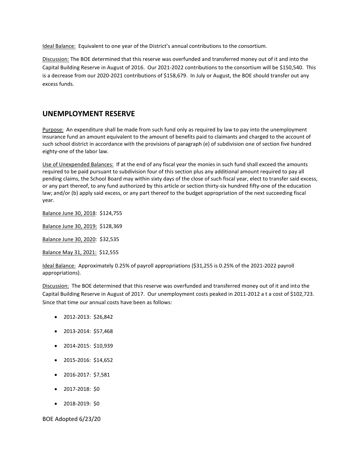Ideal Balance: Equivalent to one year of the District's annual contributions to the consortium.

Discussion: The BOE determined that this reserve was overfunded and transferred money out of it and into the Capital Building Reserve in August of 2016. Our 2021-2022 contributions to the consortium will be \$150,540. This is a decrease from our 2020-2021 contributions of \$158,679. In July or August, the BOE should transfer out any excess funds.

## **UNEMPLOYMENT RESERVE**

Purpose: An expenditure shall be made from such fund only as required by law to pay into the unemployment insurance fund an amount equivalent to the amount of benefits paid to claimants and charged to the account of such school district in accordance with the provisions of paragraph (e) of subdivision one of section five hundred eighty-one of the labor law.

Use of Unexpended Balances: If at the end of any fiscal year the monies in such fund shall exceed the amounts required to be paid pursuant to subdivision four of this section plus any additional amount required to pay all pending claims, the School Board may within sixty days of the close of such fiscal year, elect to transfer said excess, or any part thereof, to any fund authorized by this article or section thirty-six hundred fifty-one of the education law; and/or (b) apply said excess, or any part thereof to the budget appropriation of the next succeeding fiscal year.

Balance June 30, 2018: \$124,755

Balance June 30, 2019: \$128,369

Balance June 30, 2020: \$32,535

Balance May 31, 2021: \$12,555

Ideal Balance: Approximately 0.25% of payroll appropriations (\$31,255 is 0.25% of the 2021-2022 payroll appropriations).

Discussion: The BOE determined that this reserve was overfunded and transferred money out of it and into the Capital Building Reserve in August of 2017. Our unemployment costs peaked in 2011-2012 a t a cost of \$102,723. Since that time our annual costs have been as follows:

- 2012-2013: \$26,842
- 2013-2014: \$57,468
- 2014-2015: \$10,939
- 2015-2016: \$14,652
- 2016-2017: \$7,581
- 2017-2018: \$0
- 2018-2019: \$0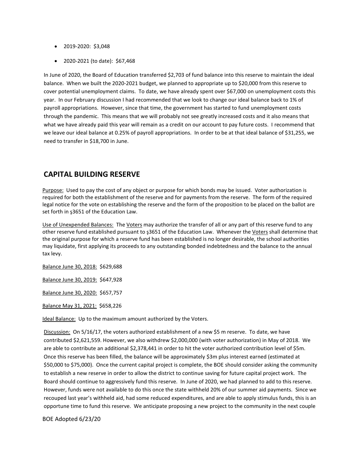- 2019-2020: \$3,048
- 2020-2021 (to date): \$67,468

In June of 2020, the Board of Education transferred \$2,703 of fund balance into this reserve to maintain the ideal balance. When we built the 2020-2021 budget, we planned to appropriate up to \$20,000 from this reserve to cover potential unemployment claims. To date, we have already spent over \$67,000 on unemployment costs this year. In our February discussion I had recommended that we look to change our ideal balance back to 1% of payroll appropriations. However, since that time, the government has started to fund unemployment costs through the pandemic. This means that we will probably not see greatly increased costs and it also means that what we have already paid this year will remain as a credit on our account to pay future costs. I recommend that we leave our ideal balance at 0.25% of payroll appropriations. In order to be at that ideal balance of \$31,255, we need to transfer in \$18,700 in June.

#### **CAPITAL BUILDING RESERVE**

Purpose: Used to pay the cost of any object or purpose for which bonds may be issued. Voter authorization is required for both the establishment of the reserve and for payments from the reserve. The form of the required legal notice for the vote on establishing the reserve and the form of the proposition to be placed on the ballot are set forth in ş3651 of the Education Law.

Use of Unexpended Balances: The Voters may authorize the transfer of all or any part of this reserve fund to any other reserve fund established pursuant to ş3651 of the Education Law. Whenever the Voters shall determine that the original purpose for which a reserve fund has been established is no longer desirable, the school authorities may liquidate, first applying its proceeds to any outstanding bonded indebtedness and the balance to the annual tax levy.

Balance June 30, 2018: \$629,688

Balance June 30, 2019: \$647,928

Balance June 30, 2020: \$657,757

Balance May 31, 2021: \$658,226

Ideal Balance: Up to the maximum amount authorized by the Voters.

Discussion: On 5/16/17, the voters authorized establishment of a new \$5 m reserve. To date, we have contributed \$2,621,559. However, we also withdrew \$2,000,000 (with voter authorization) in May of 2018. We are able to contribute an additional \$2,378,441 in order to hit the voter authorized contribution level of \$5m. Once this reserve has been filled, the balance will be approximately \$3m plus interest earned (estimated at \$50,000 to \$75,000). Once the current capital project is complete, the BOE should consider asking the community to establish a new reserve in order to allow the district to continue saving for future capital project work. The Board should continue to aggressively fund this reserve. In June of 2020, we had planned to add to this reserve. However, funds were not available to do this once the state withheld 20% of our summer aid payments. Since we recouped last year's withheld aid, had some reduced expenditures, and are able to apply stimulus funds, this is an opportune time to fund this reserve. We anticipate proposing a new project to the community in the next couple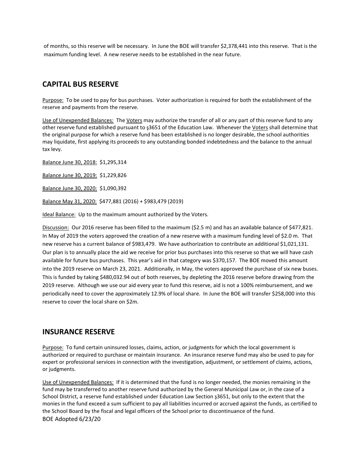of months, so this reserve will be necessary. In June the BOE will transfer \$2,378,441 into this reserve. That is the maximum funding level. A new reserve needs to be established in the near future.

#### **CAPITAL BUS RESERVE**

Purpose: To be used to pay for bus purchases. Voter authorization is required for both the establishment of the reserve and payments from the reserve.

Use of Unexpended Balances: The Voters may authorize the transfer of all or any part of this reserve fund to any other reserve fund established pursuant to ş3651 of the Education Law. Whenever the Voters shall determine that the original purpose for which a reserve fund has been established is no longer desirable, the school authorities may liquidate, first applying its proceeds to any outstanding bonded indebtedness and the balance to the annual tax levy.

Balance June 30, 2018: \$1,295,314

Balance June 30, 2019: \$1,229,826

Balance June 30, 2020: \$1,090,392

Balance May 31, 2020: \$477,881 (2016) + \$983,479 (2019)

Ideal Balance: Up to the maximum amount authorized by the Voters.

Discussion: Our 2016 reserve has been filled to the maximum (\$2.5 m) and has an available balance of \$477,821. In May of 2019 the voters approved the creation of a new reserve with a maximum funding level of \$2.0 m. That new reserve has a current balance of \$983,479. We have authorization to contribute an additional \$1,021,131. Our plan is to annually place the aid we receive for prior bus purchases into this reserve so that we will have cash available for future bus purchases. This year's aid in that category was \$370,157. The BOE moved this amount into the 2019 reserve on March 23, 2021. Additionally, in May, the voters approved the purchase of six new buses. This is funded by taking \$480,032.94 out of both reserves, by depleting the 2016 reserve before drawing from the 2019 reserve. Although we use our aid every year to fund this reserve, aid is not a 100% reimbursement, and we periodically need to cover the approximately 12.9% of local share. In June the BOE will transfer \$258,000 into this reserve to cover the local share on \$2m.

#### **INSURANCE RESERVE**

Purpose: To fund certain uninsured losses, claims, action, or judgments for which the local government is authorized or required to purchase or maintain insurance. An insurance reserve fund may also be used to pay for expert or professional services in connection with the investigation, adjustment, or settlement of claims, actions, or judgments.

BOE Adopted 6/23/20 Use of Unexpended Balances: If it is determined that the fund is no longer needed, the monies remaining in the fund may be transferred to another reserve fund authorized by the General Municipal Law or, in the case of a School District, a reserve fund established under Education Law Section ş3651, but only to the extent that the monies in the fund exceed a sum sufficient to pay all liabilities incurred or accrued against the funds, as certified to the School Board by the fiscal and legal officers of the School prior to discontinuance of the fund.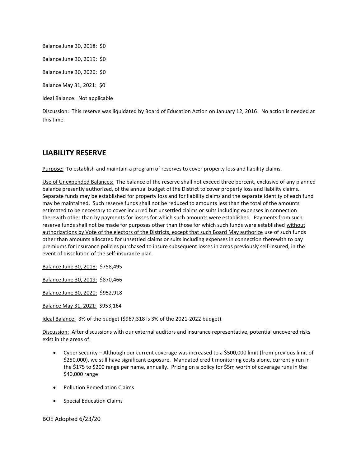Balance June 30, 2018: \$0 Balance June 30, 2019: \$0 Balance June 30, 2020: \$0 Balance May 31, 2021: \$0 Ideal Balance: Not applicable

Discussion: This reserve was liquidated by Board of Education Action on January 12, 2016. No action is needed at this time.

# **LIABILITY RESERVE**

Purpose: To establish and maintain a program of reserves to cover property loss and liability claims.

Use of Unexpended Balances: The balance of the reserve shall not exceed three percent, exclusive of any planned balance presently authorized, of the annual budget of the District to cover property loss and liability claims. Separate funds may be established for property loss and for liability claims and the separate identity of each fund may be maintained. Such reserve funds shall not be reduced to amounts less than the total of the amounts estimated to be necessary to cover incurred but unsettled claims or suits including expenses in connection therewith other than by payments for losses for which such amounts were established. Payments from such reserve funds shall not be made for purposes other than those for which such funds were established without authorizations by Vote of the electors of the Districts, except that such Board May authorize use of such funds other than amounts allocated for unsettled claims or suits including expenses in connection therewith to pay premiums for insurance policies purchased to insure subsequent losses in areas previously self-insured, in the event of dissolution of the self-insurance plan.

Balance June 30, 2018: \$758,495

Balance June 30, 2019: \$870,466

Balance June 30, 2020: \$952,918

Balance May 31, 2021: \$953,164

Ideal Balance: 3% of the budget (\$967,318 is 3% of the 2021-2022 budget).

Discussion: After discussions with our external auditors and insurance representative, potential uncovered risks exist in the areas of:

- Cyber security Although our current coverage was increased to a \$500,000 limit (from previous limit of \$250,000), we still have significant exposure. Mandated credit monitoring costs alone, currently run in the \$175 to \$200 range per name, annually. Pricing on a policy for \$5m worth of coverage runs in the \$40,000 range
- Pollution Remediation Claims
- **•** Special Education Claims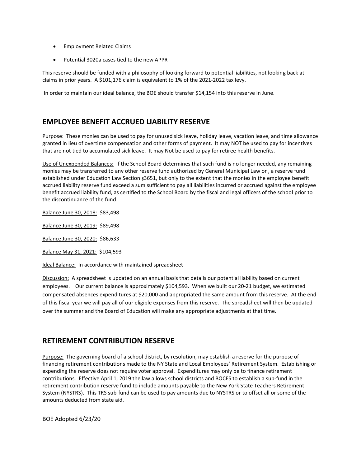- **•** Employment Related Claims
- Potential 3020a cases tied to the new APPR

This reserve should be funded with a philosophy of looking forward to potential liabilities, not looking back at claims in prior years. A \$101,176 claim is equivalent to 1% of the 2021-2022 tax levy.

In order to maintain our ideal balance, the BOE should transfer \$14,154 into this reserve in June.

# **EMPLOYEE BENEFIT ACCRUED LIABILITY RESERVE**

Purpose: These monies can be used to pay for unused sick leave, holiday leave, vacation leave, and time allowance granted in lieu of overtime compensation and other forms of payment. It may NOT be used to pay for incentives that are not tied to accumulated sick leave. It may Not be used to pay for retiree health benefits.

Use of Unexpended Balances: If the School Board determines that such fund is no longer needed, any remaining monies may be transferred to any other reserve fund authorized by General Municipal Law or , a reserve fund established under Education Law Section ş3651, but only to the extent that the monies in the employee benefit accrued liability reserve fund exceed a sum sufficient to pay all liabilities incurred or accrued against the employee benefit accrued liability fund, as certified to the School Board by the fiscal and legal officers of the school prior to the discontinuance of the fund.

Balance June 30, 2018: \$83,498

Balance June 30, 2019: \$89,498

Balance June 30, 2020: \$86,633

Balance May 31, 2021: \$104,593

Ideal Balance: In accordance with maintained spreadsheet

Discussion: A spreadsheet is updated on an annual basis that details our potential liability based on current employees. Our current balance is approximately \$104,593. When we built our 20-21 budget, we estimated compensated absences expenditures at \$20,000 and appropriated the same amount from this reserve. At the end of this fiscal year we will pay all of our eligible expenses from this reserve. The spreadsheet will then be updated over the summer and the Board of Education will make any appropriate adjustments at that time.

# **RETIREMENT CONTRIBUTION RESERVE**

Purpose: The governing board of a school district, by resolution, may establish a reserve for the purpose of financing retirement contributions made to the NY State and Local Employees' Retirement System. Establishing or expending the reserve does not require voter approval. Expenditures may only be to finance retirement contributions. Effective April 1, 2019 the law allows school districts and BOCES to establish a sub-fund in the retirement contribution reserve fund to include amounts payable to the New York State Teachers Retirement System (NYSTRS). This TRS sub-fund can be used to pay amounts due to NYSTRS or to offset all or some of the amounts deducted from state aid.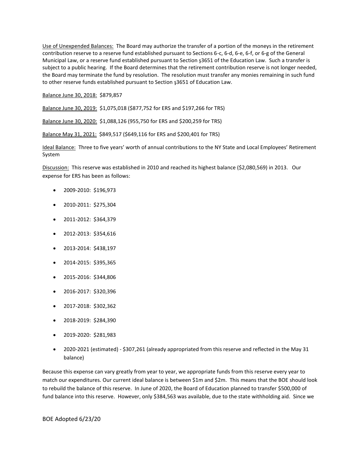Use of Unexpended Balances: The Board may authorize the transfer of a portion of the moneys in the retirement contribution reserve to a reserve fund established pursuant to Sections 6-c, 6-d, 6-e, 6-f, or 6-g of the General Municipal Law, or a reserve fund established pursuant to Section ş3651 of the Education Law. Such a transfer is subject to a public hearing. If the Board determines that the retirement contribution reserve is not longer needed, the Board may terminate the fund by resolution. The resolution must transfer any monies remaining in such fund to other reserve funds established pursuant to Section ş3651 of Education Law.

Balance June 30, 2018: \$879,857

Balance June 30, 2019: \$1,075,018 (\$877,752 for ERS and \$197,266 for TRS)

Balance June 30, 2020: \$1,088,126 (955,750 for ERS and \$200,259 for TRS)

Balance May 31, 2021: \$849,517 (\$649,116 for ERS and \$200,401 for TRS)

Ideal Balance: Three to five years' worth of annual contributions to the NY State and Local Employees' Retirement System

Discussion: This reserve was established in 2010 and reached its highest balance (\$2,080,569) in 2013. Our expense for ERS has been as follows:

- 2009-2010: \$196,973
- 2010-2011: \$275,304
- 2011-2012: \$364,379
- 2012-2013: \$354,616
- 2013-2014: \$438,197
- 2014-2015: \$395,365
- 2015-2016: \$344,806
- 2016-2017: \$320,396
- 2017-2018: \$302,362
- 2018-2019: \$284,390
- 2019-2020: \$281,983
- 2020-2021 (estimated) \$307,261 (already appropriated from this reserve and reflected in the May 31 balance)

Because this expense can vary greatly from year to year, we appropriate funds from this reserve every year to match our expenditures. Our current ideal balance is between \$1m and \$2m. This means that the BOE should look to rebuild the balance of this reserve. In June of 2020, the Board of Education planned to transfer \$500,000 of fund balance into this reserve. However, only \$384,563 was available, due to the state withholding aid. Since we